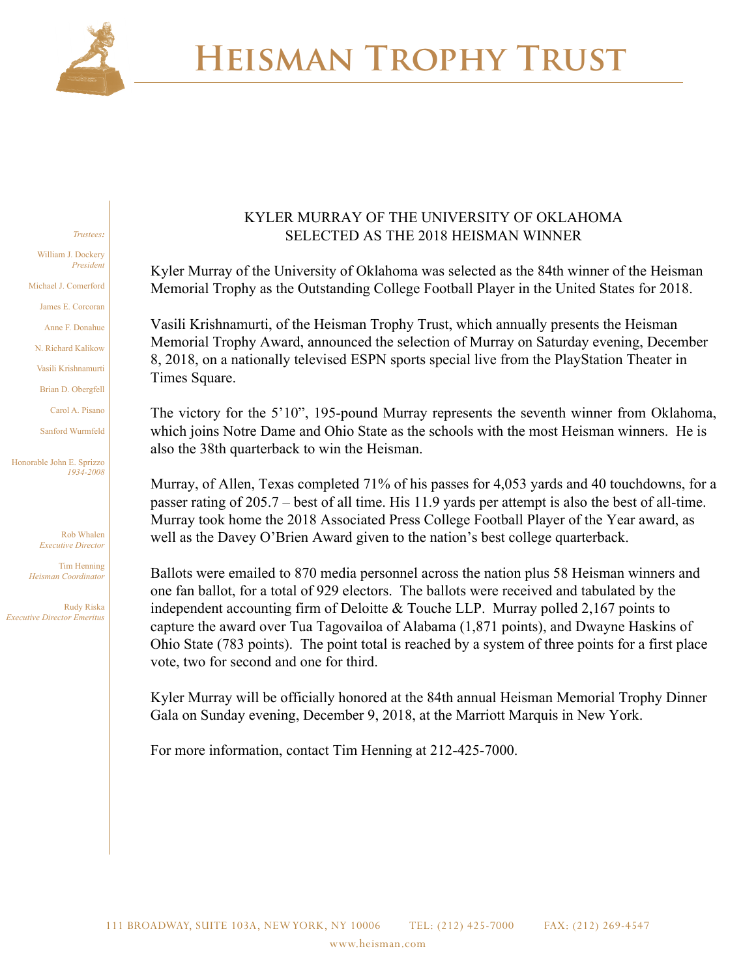

#### *Trustees:* William J. Dockery *President* Michael J. Comerford James E. Corcoran Anne F. Donahue N. Richard Kalikow Vasili Krishnamurti Brian D. Obergfell Carol A. Pisano Sanford Wurmfeld

Honorable John E. Sprizzo *1934-2008*

> Rob Whalen *Executive Director*

Tim Henning *Heisman Coordinator*

Rudy Riska *Executive Director Emeritus*

#### KYLER MURRAY OF THE UNIVERSITY OF OKLAHOMA SELECTED AS THE 2018 HEISMAN WINNER

Kyler Murray of the University of Oklahoma was selected as the 84th winner of the Heisman Memorial Trophy as the Outstanding College Football Player in the United States for 2018.

Vasili Krishnamurti, of the Heisman Trophy Trust, which annually presents the Heisman Memorial Trophy Award, announced the selection of Murray on Saturday evening, December 8, 2018, on a nationally televised ESPN sports special live from the PlayStation Theater in Times Square.

The victory for the 5'10", 195-pound Murray represents the seventh winner from Oklahoma, which joins Notre Dame and Ohio State as the schools with the most Heisman winners. He is also the 38th quarterback to win the Heisman.

Murray, of Allen, Texas completed 71% of his passes for 4,053 yards and 40 touchdowns, for a passer rating of 205.7 – best of all time. His 11.9 yards per attempt is also the best of all-time. Murray took home the 2018 Associated Press College Football Player of the Year award, as well as the Davey O'Brien Award given to the nation's best college quarterback.

Ballots were emailed to 870 media personnel across the nation plus 58 Heisman winners and one fan ballot, for a total of 929 electors. The ballots were received and tabulated by the independent accounting firm of Deloitte & Touche LLP. Murray polled 2,167 points to capture the award over Tua Tagovailoa of Alabama (1,871 points), and Dwayne Haskins of Ohio State (783 points). The point total is reached by a system of three points for a first place vote, two for second and one for third.

Kyler Murray will be officially honored at the 84th annual Heisman Memorial Trophy Dinner Gala on Sunday evening, December 9, 2018, at the Marriott Marquis in New York.

For more information, contact Tim Henning at 212-425-7000.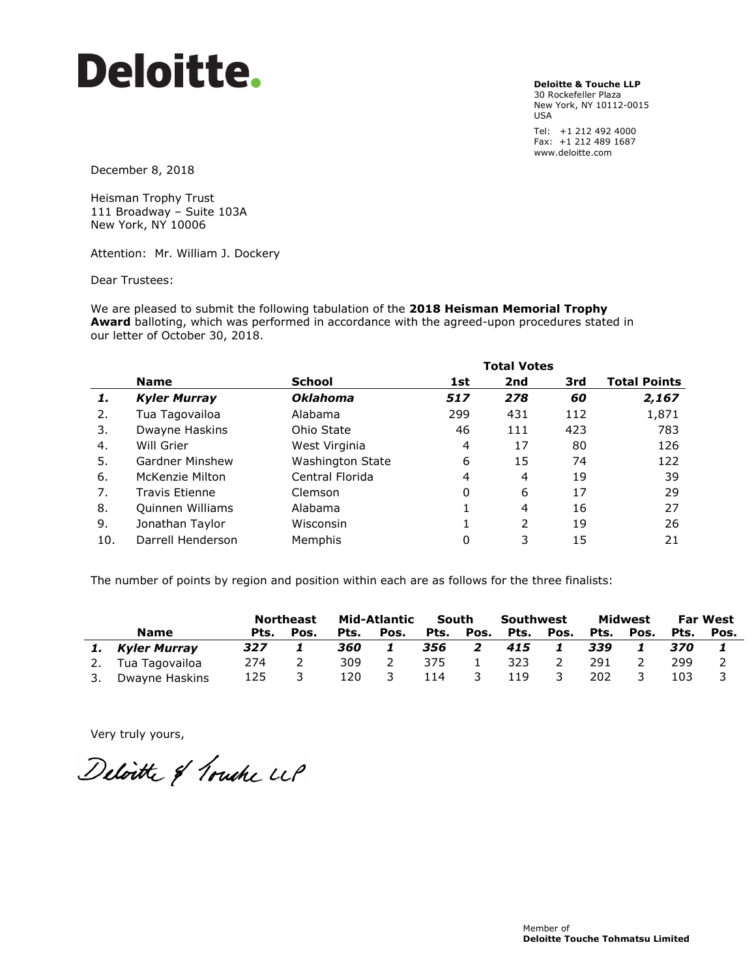**Deloitte & Touche LLP**

30 Rockefeller Plaza New York, NY 10112-0015 USA

Tel: +1 212 492 4000 Fax: +1 212 489 1687 www.deloitte.com

December 8, 2018

Heisman Trophy Trust 111 Broadway – Suite 103A New York, NY 10006

Attention: Mr. William J. Dockery

Dear Trustees:

We are pleased to submit the following tabulation of the **2018 Heisman Memorial Trophy Award** balloting, which was performed in accordance with the agreed-upon procedures stated in our letter of October 30, 2018.

|     |                        |                         | <b>Total Votes</b> |     |     |                     |  |
|-----|------------------------|-------------------------|--------------------|-----|-----|---------------------|--|
|     | <b>Name</b>            | School                  | 1st                | 2nd | 3rd | <b>Total Points</b> |  |
| 1.  | <b>Kyler Murray</b>    | <b>Oklahoma</b>         | 517                | 278 | 60  | 2,167               |  |
| 2.  | Tua Tagovailoa         | Alabama                 | 299                | 431 | 112 | 1,871               |  |
| 3.  | Dwayne Haskins         | Ohio State              | 46                 | 111 | 423 | 783                 |  |
| 4.  | Will Grier             | West Virginia           | 4                  | 17  | 80  | 126                 |  |
| 5.  | <b>Gardner Minshew</b> | <b>Washington State</b> | 6                  | 15  | 74  | 122                 |  |
| 6.  | McKenzie Milton        | Central Florida         | 4                  | 4   | 19  | 39                  |  |
| 7.  | Travis Etienne         | Clemson                 | 0                  | 6   | 17  | 29                  |  |
| 8.  | Quinnen Williams       | Alabama                 |                    | 4   | 16  | 27                  |  |
| 9.  | Jonathan Taylor        | Wisconsin               |                    | 2   | 19  | 26                  |  |
| 10. | Darrell Henderson      | Memphis                 | 0                  | 3   | 15  | 21                  |  |

The number of points by region and position within each are as follows for the three finalists:

|  |                   | Mid-Atlantic<br><b>Northeast</b> |      | South |      | Southwest |      | Midwest |               | <b>Far West</b> |      |      |      |
|--|-------------------|----------------------------------|------|-------|------|-----------|------|---------|---------------|-----------------|------|------|------|
|  | <b>Name</b>       | Pts.                             | Pos. | Pts.  | Pos. | Pts.      | Pos. | Pts.    | Pos.          | Pts.            | Pos. | Pts. | Pos. |
|  | Kyler Murray      | 327                              |      | 360   |      | 356       | 2    | 415     |               | 339             |      | 370  |      |
|  | 2. Tua Tagovailoa | 274                              |      | 309   |      | 375       |      | 323     | $\mathcal{L}$ | 291             |      | 299  |      |
|  | Dwayne Haskins    | 125                              |      | 120   |      | 114       | -3   | 119     | 3             | 202             |      | 103  |      |

Very truly yours,

Deloitte of Touche UP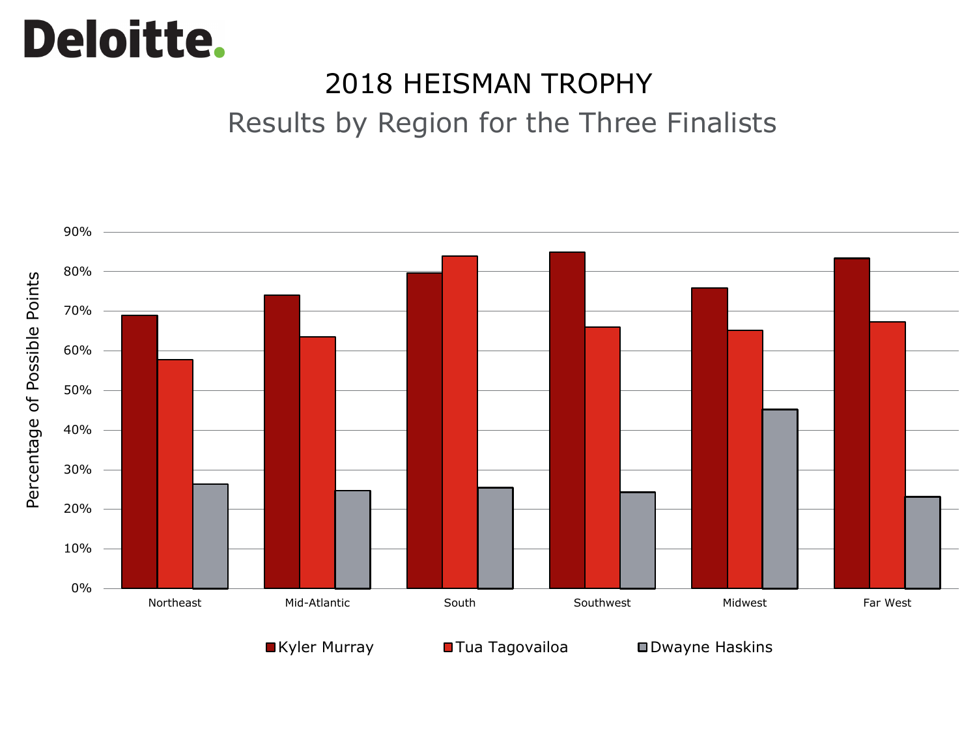### 2018 HEISMAN TROPHY

Results by Region for the Three Finalists

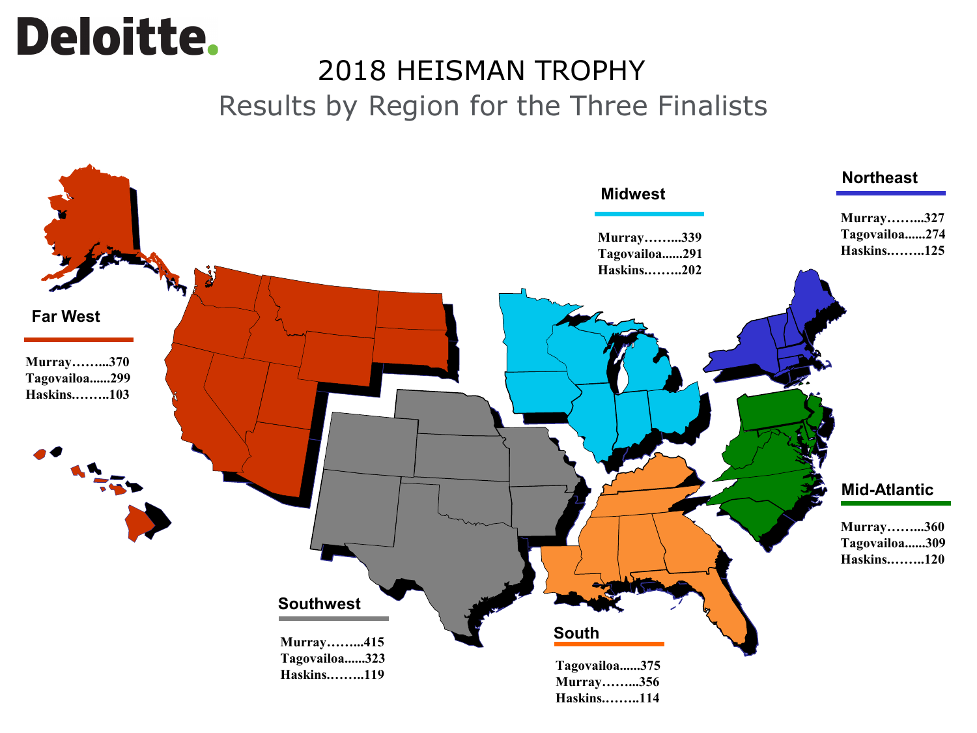### **Deloitte.** 2018 HEISMAN TROPHY Results by Region for the Three Finalists

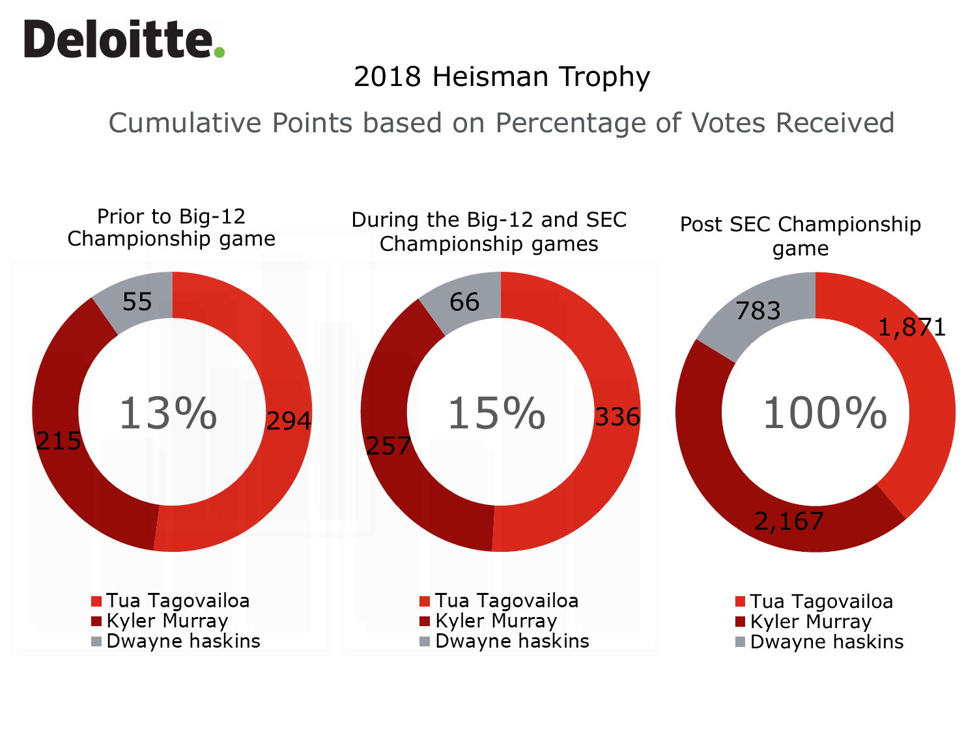### 2018 Heisman Trophy

Cumulative Points based on Percentage of Votes Received

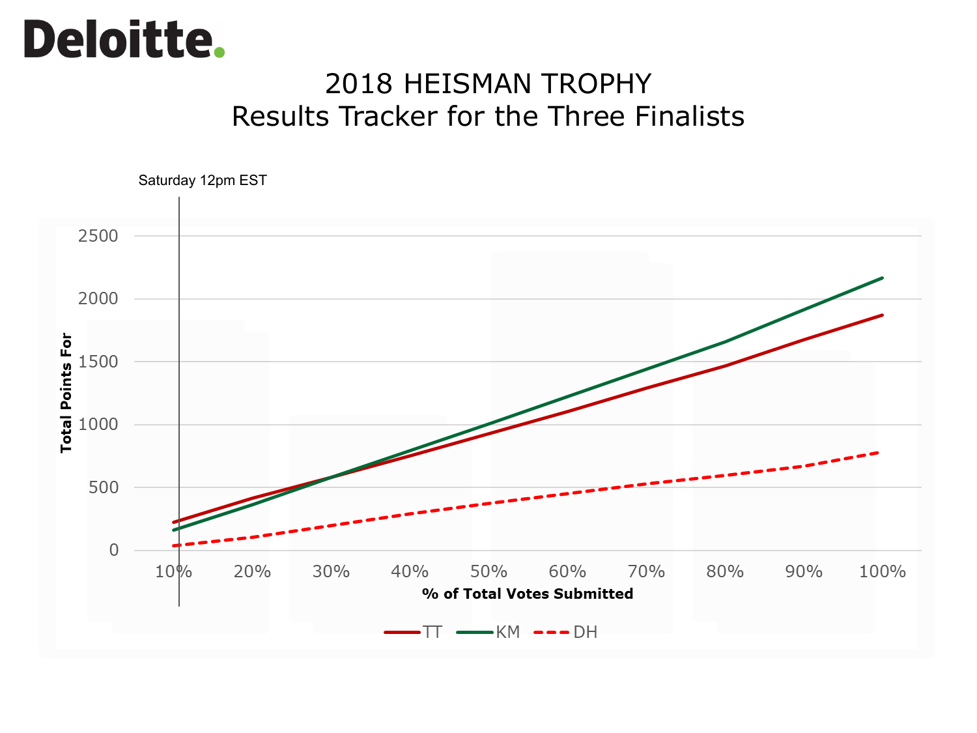### 2018 HEISMAN TROPHY Results Tracker for the Three Finalists